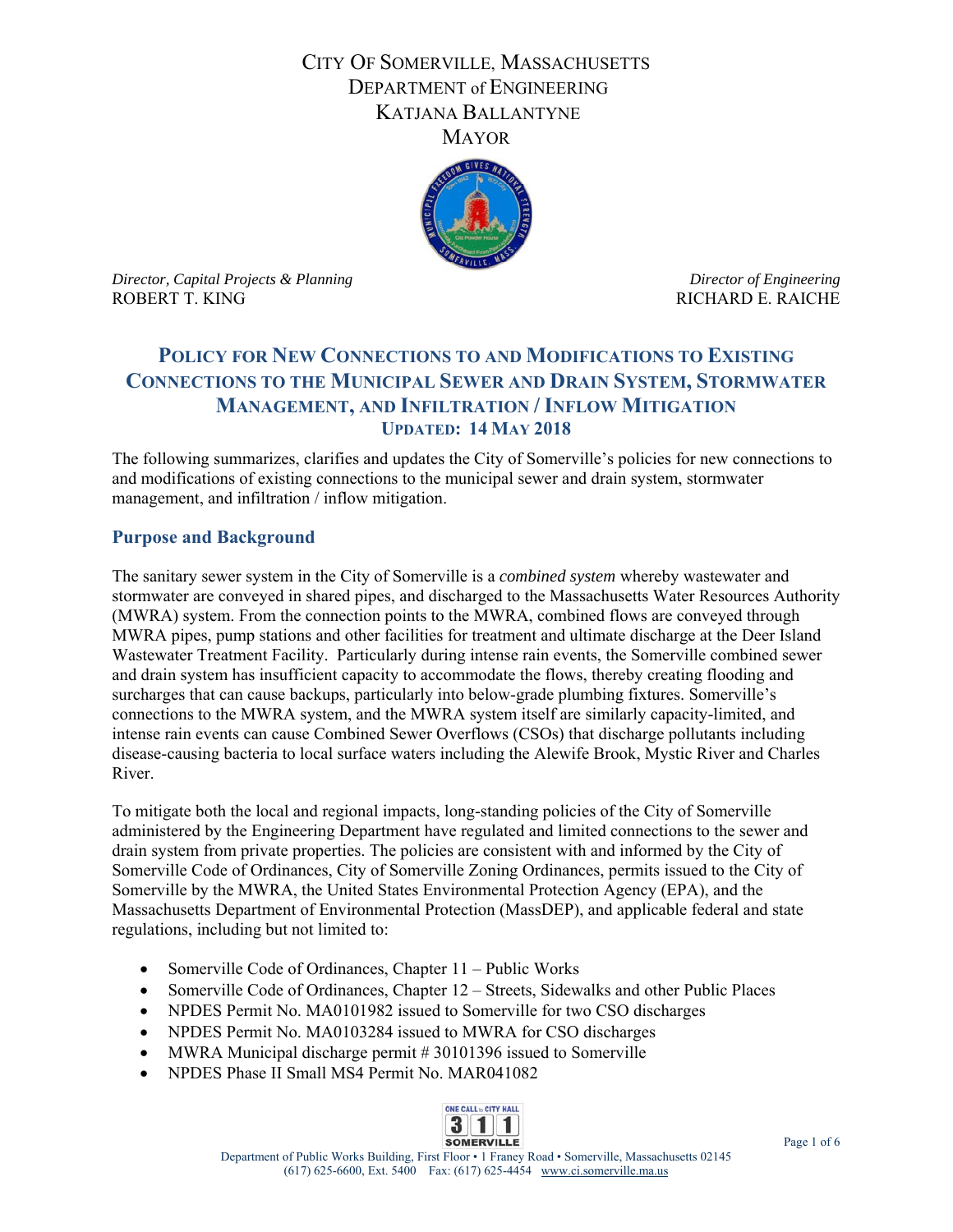## CITY OF SOMERVILLE, MASSACHUSETTS DEPARTMENT of ENGINEERING KATJANA BALLANTYNE **MAYOR**



*Director, Capital Projects & Planning* and *Director of Engineering <i>Director of Engineering* ROBERT T. KING THE RESERVE OF THE RICHARD E. RAICHE

# **POLICY FOR NEW CONNECTIONS TO AND MODIFICATIONS TO EXISTING CONNECTIONS TO THE MUNICIPAL SEWER AND DRAIN SYSTEM, STORMWATER MANAGEMENT, AND INFILTRATION / INFLOW MITIGATION UPDATED: 14 MAY 2018**

The following summarizes, clarifies and updates the City of Somerville's policies for new connections to and modifications of existing connections to the municipal sewer and drain system, stormwater management, and infiltration / inflow mitigation.

### **Purpose and Background**

The sanitary sewer system in the City of Somerville is a *combined system* whereby wastewater and stormwater are conveyed in shared pipes, and discharged to the Massachusetts Water Resources Authority (MWRA) system. From the connection points to the MWRA, combined flows are conveyed through MWRA pipes, pump stations and other facilities for treatment and ultimate discharge at the Deer Island Wastewater Treatment Facility. Particularly during intense rain events, the Somerville combined sewer and drain system has insufficient capacity to accommodate the flows, thereby creating flooding and surcharges that can cause backups, particularly into below-grade plumbing fixtures. Somerville's connections to the MWRA system, and the MWRA system itself are similarly capacity-limited, and intense rain events can cause Combined Sewer Overflows (CSOs) that discharge pollutants including disease-causing bacteria to local surface waters including the Alewife Brook, Mystic River and Charles River.

To mitigate both the local and regional impacts, long-standing policies of the City of Somerville administered by the Engineering Department have regulated and limited connections to the sewer and drain system from private properties. The policies are consistent with and informed by the City of Somerville Code of Ordinances, City of Somerville Zoning Ordinances, permits issued to the City of Somerville by the MWRA, the United States Environmental Protection Agency (EPA), and the Massachusetts Department of Environmental Protection (MassDEP), and applicable federal and state regulations, including but not limited to:

- Somerville Code of Ordinances, Chapter 11 Public Works
- Somerville Code of Ordinances, Chapter 12 Streets, Sidewalks and other Public Places
- NPDES Permit No. MA0101982 issued to Somerville for two CSO discharges
- NPDES Permit No. MA0103284 issued to MWRA for CSO discharges
- MWRA Municipal discharge permit # 30101396 issued to Somerville
- NPDES Phase II Small MS4 Permit No. MAR041082

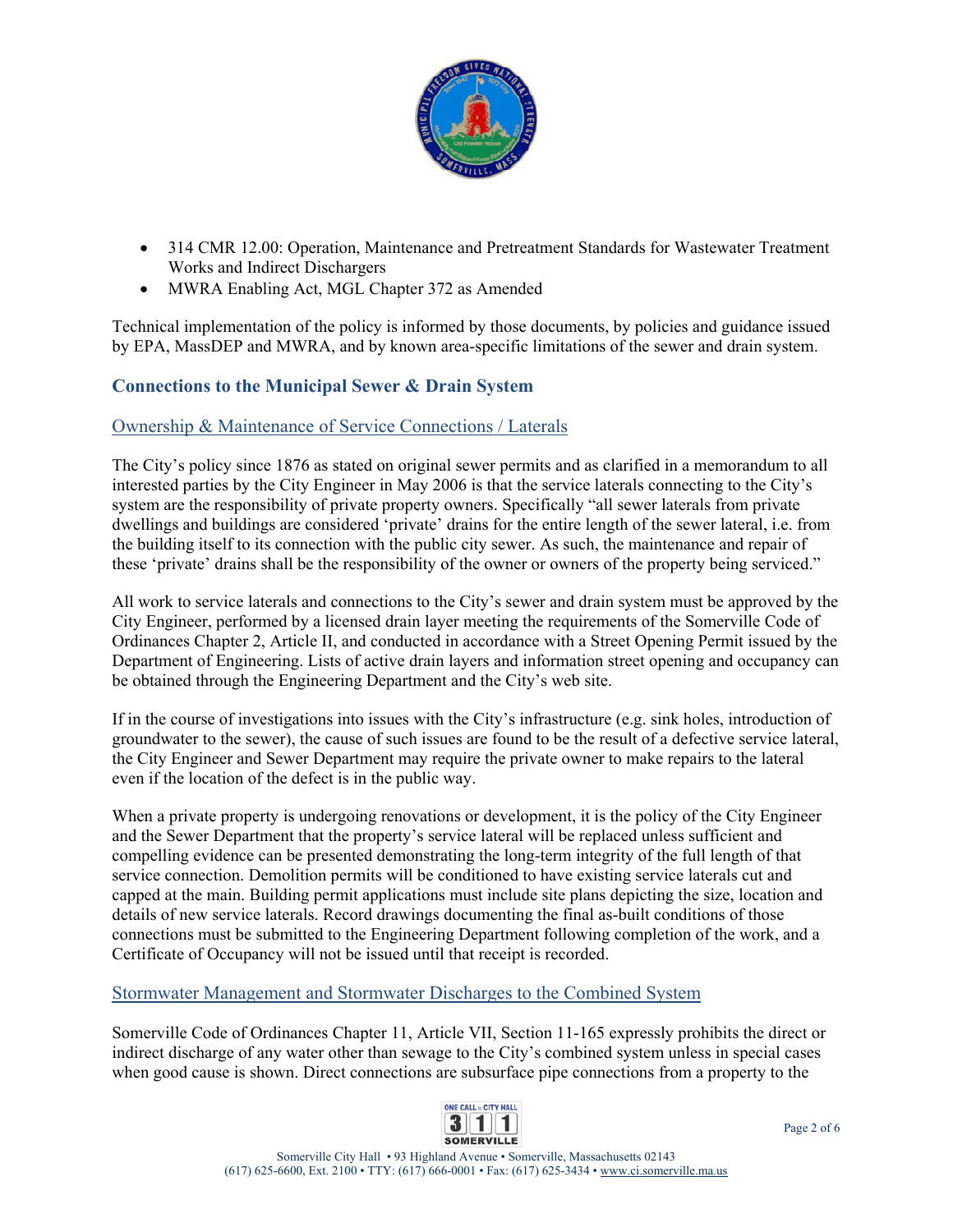

- 314 CMR 12.00: Operation, Maintenance and Pretreatment Standards for Wastewater Treatment Works and Indirect Dischargers
- MWRA Enabling Act, MGL Chapter 372 as Amended

Technical implementation of the policy is informed by those documents, by policies and guidance issued by EPA, MassDEP and MWRA, and by known area-specific limitations of the sewer and drain system.

## **Connections to the Municipal Sewer & Drain System**

#### Ownership & Maintenance of Service Connections / Laterals

The City's policy since 1876 as stated on original sewer permits and as clarified in a memorandum to all interested parties by the City Engineer in May 2006 is that the service laterals connecting to the City's system are the responsibility of private property owners. Specifically "all sewer laterals from private dwellings and buildings are considered 'private' drains for the entire length of the sewer lateral, i.e. from the building itself to its connection with the public city sewer. As such, the maintenance and repair of these 'private' drains shall be the responsibility of the owner or owners of the property being serviced."

All work to service laterals and connections to the City's sewer and drain system must be approved by the City Engineer, performed by a licensed drain layer meeting the requirements of the Somerville Code of Ordinances Chapter 2, Article II, and conducted in accordance with a Street Opening Permit issued by the Department of Engineering. Lists of active drain layers and information street opening and occupancy can be obtained through the Engineering Department and the City's web site.

If in the course of investigations into issues with the City's infrastructure (e.g. sink holes, introduction of groundwater to the sewer), the cause of such issues are found to be the result of a defective service lateral, the City Engineer and Sewer Department may require the private owner to make repairs to the lateral even if the location of the defect is in the public way.

When a private property is undergoing renovations or development, it is the policy of the City Engineer and the Sewer Department that the property's service lateral will be replaced unless sufficient and compelling evidence can be presented demonstrating the long-term integrity of the full length of that service connection. Demolition permits will be conditioned to have existing service laterals cut and capped at the main. Building permit applications must include site plans depicting the size, location and details of new service laterals. Record drawings documenting the final as-built conditions of those connections must be submitted to the Engineering Department following completion of the work, and a Certificate of Occupancy will not be issued until that receipt is recorded.

#### Stormwater Management and Stormwater Discharges to the Combined System

Somerville Code of Ordinances Chapter 11, Article VII, Section 11-165 expressly prohibits the direct or indirect discharge of any water other than sewage to the City's combined system unless in special cases when good cause is shown. Direct connections are subsurface pipe connections from a property to the

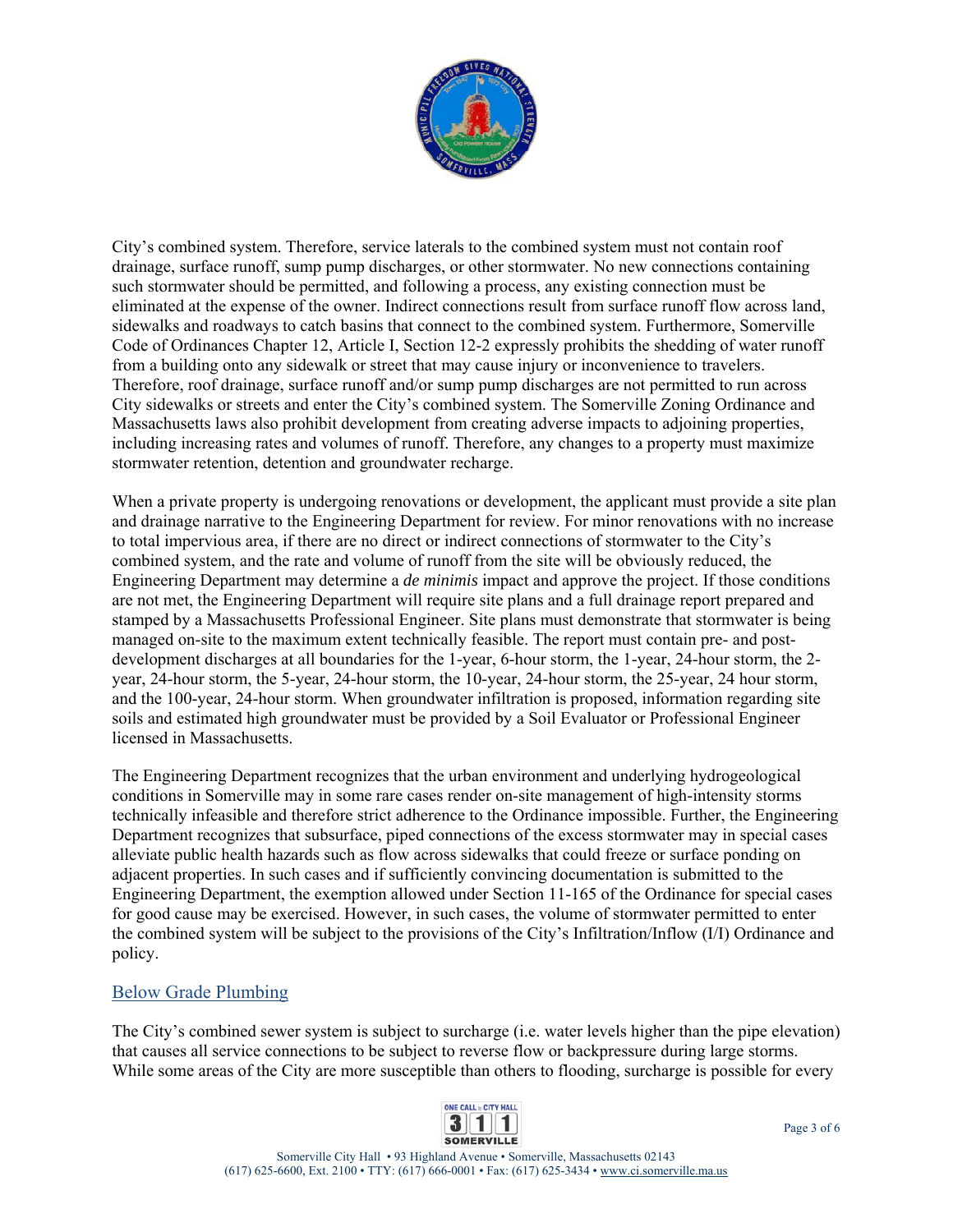

City's combined system. Therefore, service laterals to the combined system must not contain roof drainage, surface runoff, sump pump discharges, or other stormwater. No new connections containing such stormwater should be permitted, and following a process, any existing connection must be eliminated at the expense of the owner. Indirect connections result from surface runoff flow across land, sidewalks and roadways to catch basins that connect to the combined system. Furthermore, Somerville Code of Ordinances Chapter 12, Article I, Section 12-2 expressly prohibits the shedding of water runoff from a building onto any sidewalk or street that may cause injury or inconvenience to travelers. Therefore, roof drainage, surface runoff and/or sump pump discharges are not permitted to run across City sidewalks or streets and enter the City's combined system. The Somerville Zoning Ordinance and Massachusetts laws also prohibit development from creating adverse impacts to adjoining properties, including increasing rates and volumes of runoff. Therefore, any changes to a property must maximize stormwater retention, detention and groundwater recharge.

When a private property is undergoing renovations or development, the applicant must provide a site plan and drainage narrative to the Engineering Department for review. For minor renovations with no increase to total impervious area, if there are no direct or indirect connections of stormwater to the City's combined system, and the rate and volume of runoff from the site will be obviously reduced, the Engineering Department may determine a *de minimis* impact and approve the project. If those conditions are not met, the Engineering Department will require site plans and a full drainage report prepared and stamped by a Massachusetts Professional Engineer. Site plans must demonstrate that stormwater is being managed on-site to the maximum extent technically feasible. The report must contain pre- and postdevelopment discharges at all boundaries for the 1-year, 6-hour storm, the 1-year, 24-hour storm, the 2 year, 24-hour storm, the 5-year, 24-hour storm, the 10-year, 24-hour storm, the 25-year, 24 hour storm, and the 100-year, 24-hour storm. When groundwater infiltration is proposed, information regarding site soils and estimated high groundwater must be provided by a Soil Evaluator or Professional Engineer licensed in Massachusetts.

The Engineering Department recognizes that the urban environment and underlying hydrogeological conditions in Somerville may in some rare cases render on-site management of high-intensity storms technically infeasible and therefore strict adherence to the Ordinance impossible. Further, the Engineering Department recognizes that subsurface, piped connections of the excess stormwater may in special cases alleviate public health hazards such as flow across sidewalks that could freeze or surface ponding on adjacent properties. In such cases and if sufficiently convincing documentation is submitted to the Engineering Department, the exemption allowed under Section 11-165 of the Ordinance for special cases for good cause may be exercised. However, in such cases, the volume of stormwater permitted to enter the combined system will be subject to the provisions of the City's Infiltration/Inflow (I/I) Ordinance and policy.

### Below Grade Plumbing

The City's combined sewer system is subject to surcharge (i.e. water levels higher than the pipe elevation) that causes all service connections to be subject to reverse flow or backpressure during large storms. While some areas of the City are more susceptible than others to flooding, surcharge is possible for every

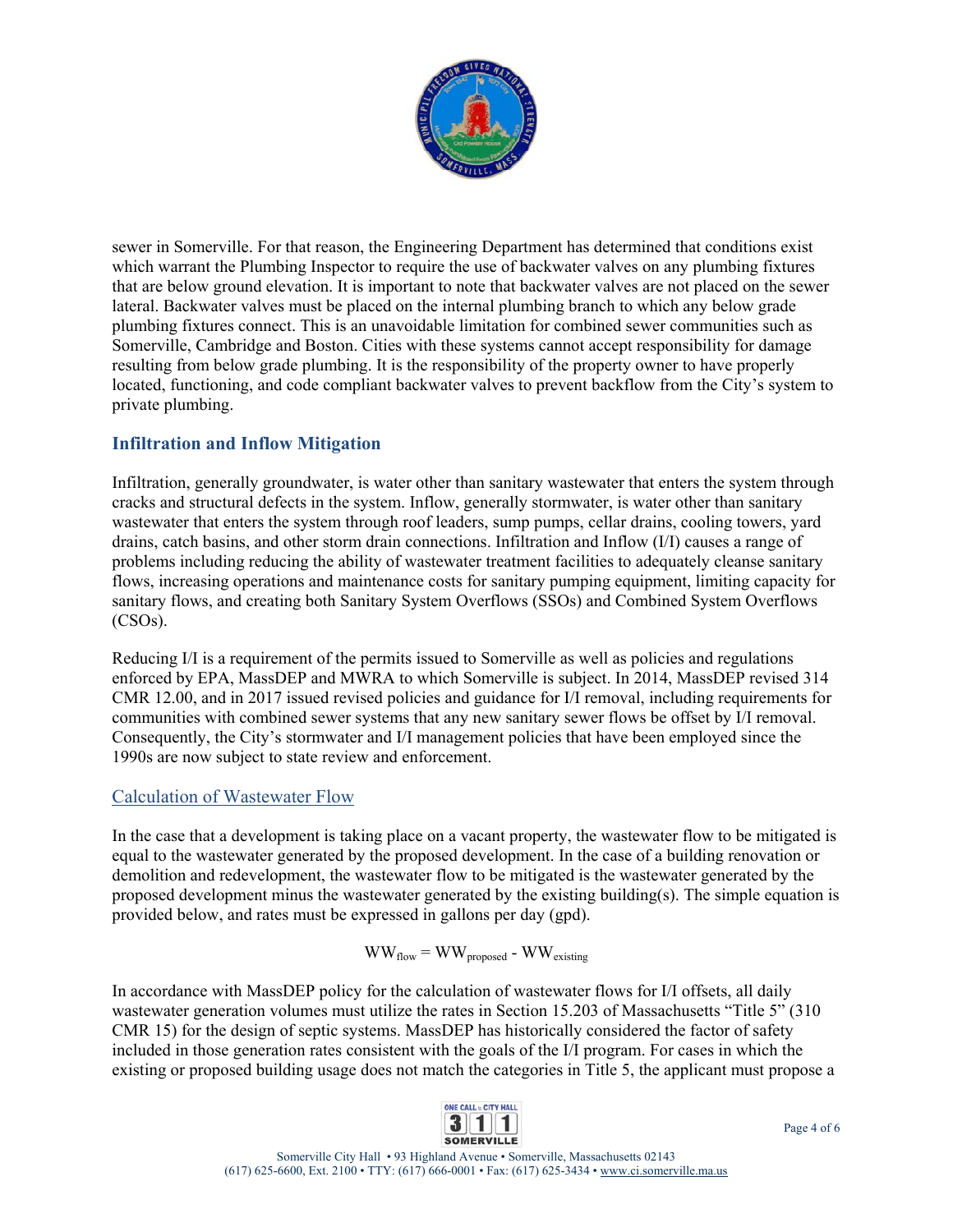

sewer in Somerville. For that reason, the Engineering Department has determined that conditions exist which warrant the Plumbing Inspector to require the use of backwater valves on any plumbing fixtures that are below ground elevation. It is important to note that backwater valves are not placed on the sewer lateral. Backwater valves must be placed on the internal plumbing branch to which any below grade plumbing fixtures connect. This is an unavoidable limitation for combined sewer communities such as Somerville, Cambridge and Boston. Cities with these systems cannot accept responsibility for damage resulting from below grade plumbing. It is the responsibility of the property owner to have properly located, functioning, and code compliant backwater valves to prevent backflow from the City's system to private plumbing.

### **Infiltration and Inflow Mitigation**

Infiltration, generally groundwater, is water other than sanitary wastewater that enters the system through cracks and structural defects in the system. Inflow, generally stormwater, is water other than sanitary wastewater that enters the system through roof leaders, sump pumps, cellar drains, cooling towers, yard drains, catch basins, and other storm drain connections. Infiltration and Inflow (I/I) causes a range of problems including reducing the ability of wastewater treatment facilities to adequately cleanse sanitary flows, increasing operations and maintenance costs for sanitary pumping equipment, limiting capacity for sanitary flows, and creating both Sanitary System Overflows (SSOs) and Combined System Overflows (CSOs).

Reducing I/I is a requirement of the permits issued to Somerville as well as policies and regulations enforced by EPA, MassDEP and MWRA to which Somerville is subject. In 2014, MassDEP revised 314 CMR 12.00, and in 2017 issued revised policies and guidance for I/I removal, including requirements for communities with combined sewer systems that any new sanitary sewer flows be offset by I/I removal. Consequently, the City's stormwater and I/I management policies that have been employed since the 1990s are now subject to state review and enforcement.

### Calculation of Wastewater Flow

In the case that a development is taking place on a vacant property, the wastewater flow to be mitigated is equal to the wastewater generated by the proposed development. In the case of a building renovation or demolition and redevelopment, the wastewater flow to be mitigated is the wastewater generated by the proposed development minus the wastewater generated by the existing building(s). The simple equation is provided below, and rates must be expressed in gallons per day (gpd).

 $WW_{flow} = WW_{proposed} - WW_{existing}$ 

In accordance with MassDEP policy for the calculation of wastewater flows for I/I offsets, all daily wastewater generation volumes must utilize the rates in Section 15.203 of Massachusetts "Title 5" (310 CMR 15) for the design of septic systems. MassDEP has historically considered the factor of safety included in those generation rates consistent with the goals of the I/I program. For cases in which the existing or proposed building usage does not match the categories in Title 5, the applicant must propose a

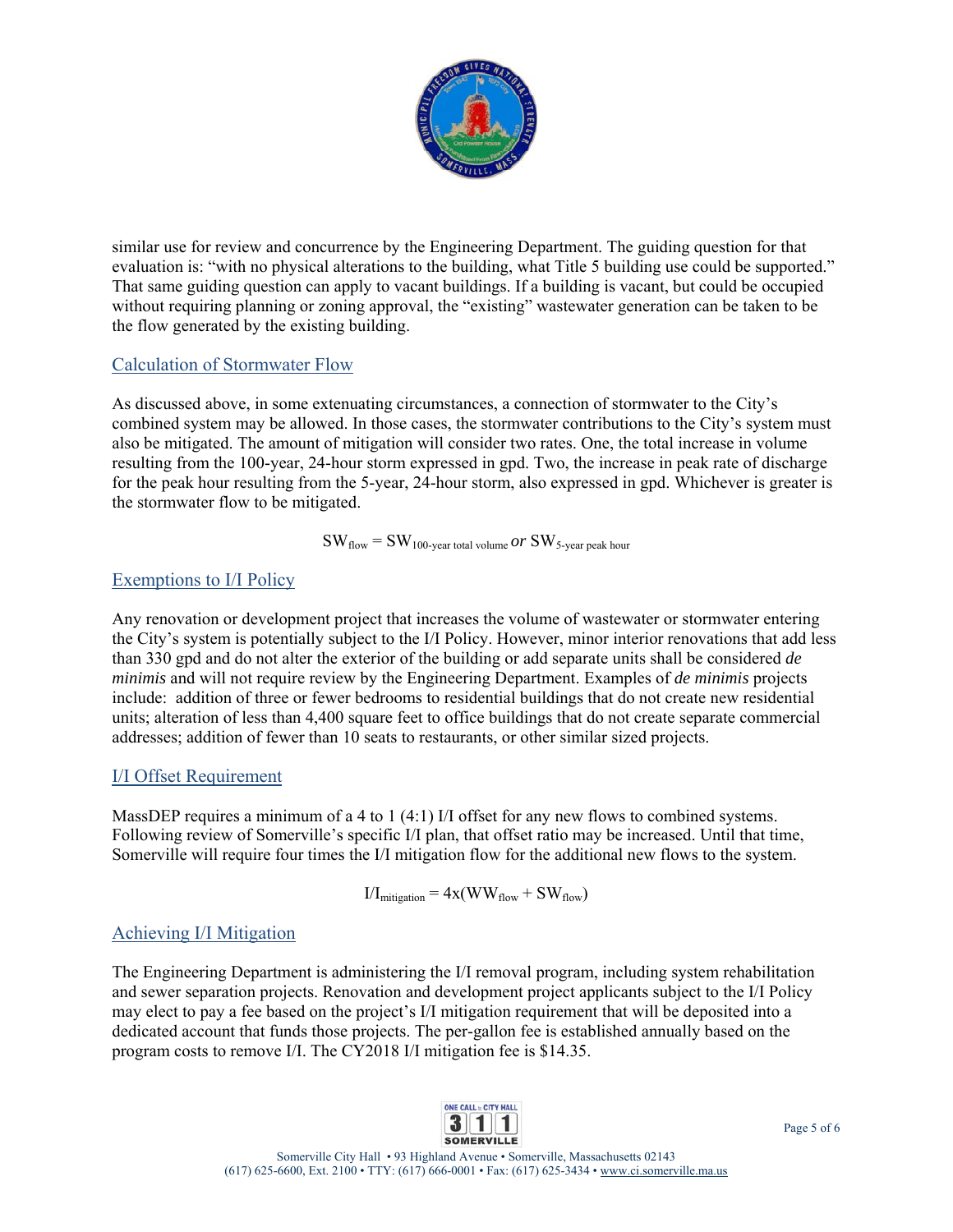

similar use for review and concurrence by the Engineering Department. The guiding question for that evaluation is: "with no physical alterations to the building, what Title 5 building use could be supported." That same guiding question can apply to vacant buildings. If a building is vacant, but could be occupied without requiring planning or zoning approval, the "existing" wastewater generation can be taken to be the flow generated by the existing building.

### Calculation of Stormwater Flow

As discussed above, in some extenuating circumstances, a connection of stormwater to the City's combined system may be allowed. In those cases, the stormwater contributions to the City's system must also be mitigated. The amount of mitigation will consider two rates. One, the total increase in volume resulting from the 100-year, 24-hour storm expressed in gpd. Two, the increase in peak rate of discharge for the peak hour resulting from the 5-year, 24-hour storm, also expressed in gpd. Whichever is greater is the stormwater flow to be mitigated.

$$
SW_{flow} = SW_{100\text{-year total volume}} or SW_{5\text{-year peak hour}}
$$

#### Exemptions to I/I Policy

Any renovation or development project that increases the volume of wastewater or stormwater entering the City's system is potentially subject to the I/I Policy. However, minor interior renovations that add less than 330 gpd and do not alter the exterior of the building or add separate units shall be considered *de minimis* and will not require review by the Engineering Department. Examples of *de minimis* projects include: addition of three or fewer bedrooms to residential buildings that do not create new residential units; alteration of less than 4,400 square feet to office buildings that do not create separate commercial addresses; addition of fewer than 10 seats to restaurants, or other similar sized projects.

### I/I Offset Requirement

MassDEP requires a minimum of a 4 to 1 (4:1) I/I offset for any new flows to combined systems. Following review of Somerville's specific I/I plan, that offset ratio may be increased. Until that time, Somerville will require four times the I/I mitigation flow for the additional new flows to the system.

$$
I/I_{mitigation} = 4x(WW_{flow} + SW_{flow})
$$

### Achieving I/I Mitigation

The Engineering Department is administering the I/I removal program, including system rehabilitation and sewer separation projects. Renovation and development project applicants subject to the I/I Policy may elect to pay a fee based on the project's I/I mitigation requirement that will be deposited into a dedicated account that funds those projects. The per-gallon fee is established annually based on the program costs to remove I/I. The CY2018 I/I mitigation fee is \$14.35.